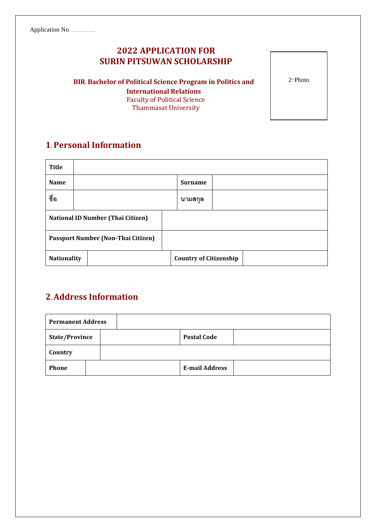## **2022 APPLICATION FOR SURIN PITSUWAN SCHOLARSHIP**

**BIR: Bachelor of Political Science Program in Politics and International Relations** Faculty of Political Science Thammasat University

**1. Personal Information**

| Title                                     |  |  |  |                               |  |  |  |  |
|-------------------------------------------|--|--|--|-------------------------------|--|--|--|--|
| <b>Name</b>                               |  |  |  | <b>Surname</b>                |  |  |  |  |
| ชื่อ                                      |  |  |  | นามสกุล                       |  |  |  |  |
| <b>National ID Number (Thai Citizen)</b>  |  |  |  |                               |  |  |  |  |
| <b>Passport Number (Non-Thai Citizen)</b> |  |  |  |                               |  |  |  |  |
| <b>Nationality</b>                        |  |  |  | <b>Country of Citizenship</b> |  |  |  |  |

## **2.Address Information**

| <b>Permanent Address</b> |  |  |                       |  |  |
|--------------------------|--|--|-----------------------|--|--|
| <b>State/Province</b>    |  |  | <b>Postal Code</b>    |  |  |
| Country                  |  |  |                       |  |  |
| <b>Phone</b>             |  |  | <b>E-mail Address</b> |  |  |

2" Photo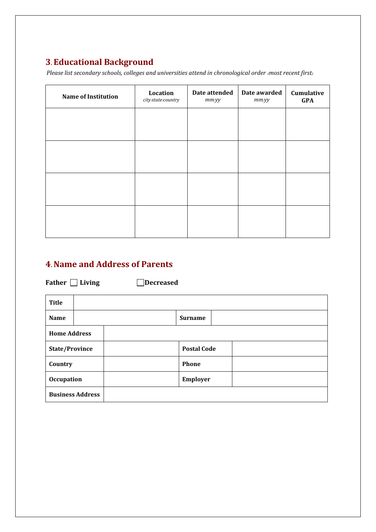# **3. Educational Background**

*Please list secondary schools, colleges and universities attend in chronological order (most recent first)*

| <b>Name of Institution</b> | Location<br>city/state/country | Date attended<br>$mm$ <i>yy</i> | Date awarded<br>$mm$ <i>yy</i> | Cumulative<br><b>GPA</b> |
|----------------------------|--------------------------------|---------------------------------|--------------------------------|--------------------------|
|                            |                                |                                 |                                |                          |
|                            |                                |                                 |                                |                          |
|                            |                                |                                 |                                |                          |
|                            |                                |                                 |                                |                          |
|                            |                                |                                 |                                |                          |

## **4.Name and Address of Parents**

**Father Living Decreased**

| <b>Title</b>          |                         |  |                    |  |  |
|-----------------------|-------------------------|--|--------------------|--|--|
| Name                  |                         |  | <b>Surname</b>     |  |  |
| <b>Home Address</b>   |                         |  |                    |  |  |
| <b>State/Province</b> |                         |  | <b>Postal Code</b> |  |  |
| Country               |                         |  | Phone              |  |  |
| <b>Occupation</b>     |                         |  | Employer           |  |  |
|                       | <b>Business Address</b> |  |                    |  |  |